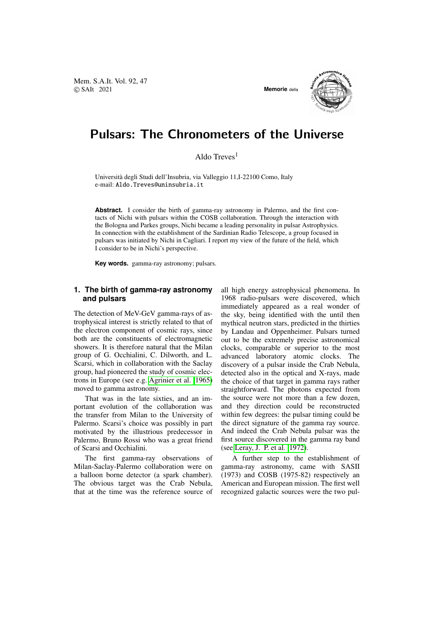Mem. S.A.It. Vol. 92, 47 © SAIt 2021 **Memorie** della





# Pulsars: The Chronometers of the Universe

Aldo Treves<sup>1</sup>

Universita degli Studi dell'Insubria, via Valleggio 11,I-22100 Como, Italy ` e-mail: Aldo.Treves@uninsubria.it

**Abstract.** I consider the birth of gamma-ray astronomy in Palermo, and the first contacts of Nichi with pulsars within the COSB collaboration. Through the interaction with the Bologna and Parkes groups, Nichi became a leading personality in pulsar Astrophysics. In connection with the establishment of the Sardinian Radio Telescope, a group focused in pulsars was initiated by Nichi in Cagliari. I report my view of the future of the field, which I consider to be in Nichi's perspective.

**Key words.** gamma-ray astronomy; pulsars.

#### **1. The birth of gamma-ray astronomy and pulsars**

The detection of MeV-GeV gamma-rays of astrophysical interest is strictly related to that of the electron component of cosmic rays, since both are the constituents of electromagnetic showers. It is therefore natural that the Milan group of G. Occhialini, C. Dilworth, and L. Scarsi, which in collaboration with the Saclay group, had pioneered the study of cosmic electrons in Europe (see e.g. [Agrinier et al. 1965\)](#page-2-0) moved to gamma astronomy.

That was in the late sixties, and an important evolution of the collaboration was the transfer from Milan to the University of Palermo. Scarsi's choice was possibly in part motivated by the illustrious predecessor in Palermo, Bruno Rossi who was a great friend of Scarsi and Occhialini.

The first gamma-ray observations of Milan-Saclay-Palermo collaboration were on a balloon borne detector (a spark chamber). The obvious target was the Crab Nebula, that at the time was the reference source of all high energy astrophysical phenomena. In 1968 radio-pulsars were discovered, which immediately appeared as a real wonder of the sky, being identified with the until then mythical neutron stars, predicted in the thirties by Landau and Oppenheimer. Pulsars turned out to be the extremely precise astronomical clocks, comparable or superior to the most advanced laboratory atomic clocks. The discovery of a pulsar inside the Crab Nebula, detected also in the optical and X-rays, made the choice of that target in gamma rays rather straightforward. The photons expected from the source were not more than a few dozen, and they direction could be reconstructed within few degrees: the pulsar timing could be the direct signature of the gamma ray source. And indeed the Crab Nebula pulsar was the first source discovered in the gamma ray band (see [Leray, J. P. et al. 1972\)](#page-2-1).

A further step to the establishment of gamma-ray astronomy, came with SASII (1973) and COSB (1975-82) respectively an American and European mission. The first well recognized galactic sources were the two pul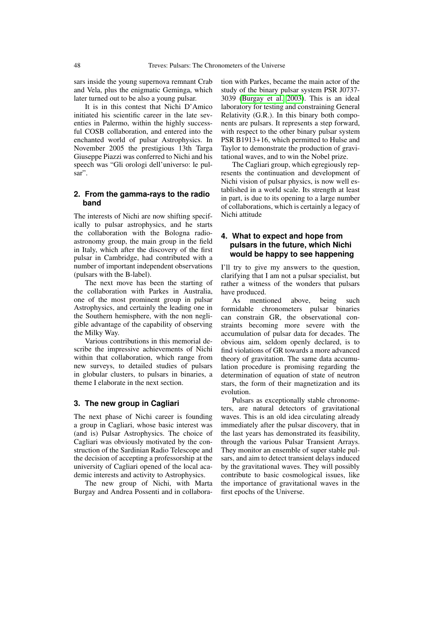sars inside the young supernova remnant Crab and Vela, plus the enigmatic Geminga, which later turned out to be also a young pulsar.

It is in this contest that Nichi D'Amico initiated his scientific career in the late seventies in Palermo, within the highly successful COSB collaboration, and entered into the enchanted world of pulsar Astrophysics. In November 2005 the prestigious 13th Targa Giuseppe Piazzi was conferred to Nichi and his speech was "Gli orologi dell'universo: le pulsar".

#### **2. From the gamma-rays to the radio band**

The interests of Nichi are now shifting specifically to pulsar astrophysics, and he starts the collaboration with the Bologna radioastronomy group, the main group in the field in Italy, which after the discovery of the first pulsar in Cambridge, had contributed with a number of important independent observations (pulsars with the B-label).

The next move has been the starting of the collaboration with Parkes in Australia, one of the most prominent group in pulsar Astrophysics, and certainly the leading one in the Southern hemisphere, with the non negligible advantage of the capability of observing the Milky Way.

Various contributions in this memorial describe the impressive achievements of Nichi within that collaboration, which range from new surveys, to detailed studies of pulsars in globular clusters, to pulsars in binaries, a theme I elaborate in the next section.

### **3. The new group in Cagliari**

The next phase of Nichi career is founding a group in Cagliari, whose basic interest was (and is) Pulsar Astrophysics. The choice of Cagliari was obviously motivated by the construction of the Sardinian Radio Telescope and the decision of accepting a professorship at the university of Cagliari opened of the local academic interests and activity to Astrophysics.

The new group of Nichi, with Marta Burgay and Andrea Possenti and in collaboration with Parkes, became the main actor of the study of the binary pulsar system PSR J0737- 3039 [\(Burgay et al. 2003\)](#page-2-2). This is an ideal laboratory for testing and constraining General Relativity (G.R.). In this binary both components are pulsars. It represents a step forward, with respect to the other binary pulsar system PSR B1913+16, which permitted to Hulse and Taylor to demonstrate the production of gravitational waves, and to win the Nobel prize.

The Cagliari group, which egregiously represents the continuation and development of Nichi vision of pulsar physics, is now well established in a world scale. Its strength at least in part, is due to its opening to a large number of collaborations, which is certainly a legacy of Nichi attitude

### **4. What to expect and hope from pulsars in the future, which Nichi would be happy to see happening**

I'll try to give my answers to the question, clarifying that I am not a pulsar specialist, but rather a witness of the wonders that pulsars have produced.

As mentioned above, being such formidable chronometers pulsar binaries can constrain GR, the observational constraints becoming more severe with the accumulation of pulsar data for decades. The obvious aim, seldom openly declared, is to find violations of GR towards a more advanced theory of gravitation. The same data accumulation procedure is promising regarding the determination of equation of state of neutron stars, the form of their magnetization and its evolution.

Pulsars as exceptionally stable chronometers, are natural detectors of gravitational waves. This is an old idea circulating already immediately after the pulsar discovery, that in the last years has demonstrated its feasibility, through the various Pulsar Transient Arrays. They monitor an ensemble of super stable pulsars, and aim to detect transient delays induced by the gravitational waves. They will possibly contribute to basic cosmological issues, like the importance of gravitational waves in the first epochs of the Universe.